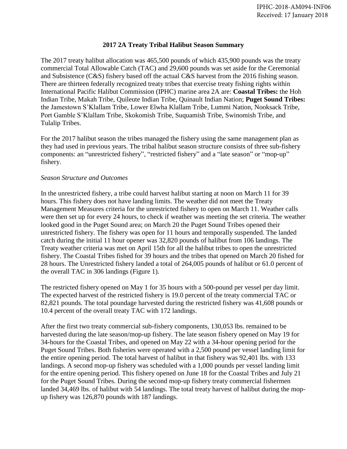## **2017 2A Treaty Tribal Halibut Season Summary**

The 2017 treaty halibut allocation was 465,500 pounds of which 435,900 pounds was the treaty commercial Total Allowable Catch (TAC) and 29,600 pounds was set aside for the Ceremonial and Subsistence (C&S) fishery based off the actual C&S harvest from the 2016 fishing season. There are thirteen federally recognized treaty tribes that exercise treaty fishing rights within International Pacific Halibut Commission (IPHC) marine area 2A are: **Coastal Tribes:** the Hoh Indian Tribe, Makah Tribe, Quileute Indian Tribe, Quinault Indian Nation; **Puget Sound Tribes:**  the Jamestown S'Klallam Tribe, Lower Elwha Klallam Tribe, Lummi Nation, Nooksack Tribe, Port Gamble S'Klallam Tribe, Skokomish Tribe, Suquamish Tribe, Swinomish Tribe, and Tulalip Tribes.

For the 2017 halibut season the tribes managed the fishery using the same management plan as they had used in previous years. The tribal halibut season structure consists of three sub-fishery components: an "unrestricted fishery", "restricted fishery" and a "late season" or "mop-up" fishery.

## *Season Structure and Outcomes*

In the unrestricted fishery, a tribe could harvest halibut starting at noon on March 11 for 39 hours. This fishery does not have landing limits. The weather did not meet the Treaty Management Measures criteria for the unrestricted fishery to open on March 11. Weather calls were then set up for every 24 hours, to check if weather was meeting the set criteria. The weather looked good in the Puget Sound area; on March 20 the Puget Sound Tribes opened their unrestricted fishery. The fishery was open for 11 hours and temporally suspended. The landed catch during the initial 11 hour opener was 32,820 pounds of halibut from 106 landings. The Treaty weather criteria was met on April 15th for all the halibut tribes to open the unrestricted fishery. The Coastal Tribes fished for 39 hours and the tribes that opened on March 20 fished for 28 hours. The Unrestricted fishery landed a total of 264,005 pounds of halibut or 61.0 percent of the overall TAC in 306 landings (Figure 1).

The restricted fishery opened on May 1 for 35 hours with a 500-pound per vessel per day limit. The expected harvest of the restricted fishery is 19.0 percent of the treaty commercial TAC or 82,821 pounds. The total poundage harvested during the restricted fishery was 41,608 pounds or 10.4 percent of the overall treaty TAC with 172 landings.

After the first two treaty commercial sub-fishery components, 130,053 lbs. remained to be harvested during the late season/mop-up fishery. The late season fishery opened on May 19 for 34-hours for the Coastal Tribes, and opened on May 22 with a 34-hour opening period for the Puget Sound Tribes. Both fisheries were operated with a 2,500 pound per vessel landing limit for the entire opening period. The total harvest of halibut in that fishery was 92,401 lbs. with 133 landings. A second mop-up fishery was scheduled with a 1,000 pounds per vessel landing limit for the entire opening period. This fishery opened on June 18 for the Coastal Tribes and July 21 for the Puget Sound Tribes. During the second mop-up fishery treaty commercial fishermen landed 34,469 lbs. of halibut with 54 landings. The total treaty harvest of halibut during the mopup fishery was 126,870 pounds with 187 landings.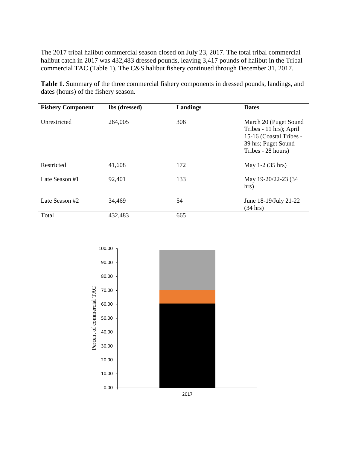The 2017 tribal halibut commercial season closed on July 23, 2017. The total tribal commercial halibut catch in 2017 was 432,483 dressed pounds, leaving 3,417 pounds of halibut in the Tribal commercial TAC (Table 1). The C&S halibut fishery continued through December 31, 2017.

**Table 1.** Summary of the three commercial fishery components in dressed pounds, landings, and dates (hours) of the fishery season.

| <b>Fishery Component</b> | lbs (dressed) | Landings | <b>Dates</b>                                                                                                             |
|--------------------------|---------------|----------|--------------------------------------------------------------------------------------------------------------------------|
| Unrestricted             | 264,005       | 306      | March 20 (Puget Sound<br>Tribes - 11 hrs); April<br>15-16 (Coastal Tribes -<br>39 hrs; Puget Sound<br>Tribes - 28 hours) |
| Restricted               | 41,608        | 172      | May 1-2 (35 hrs)                                                                                                         |
| Late Season #1           | 92,401        | 133      | May 19-20/22-23 (34<br>hrs)                                                                                              |
| Late Season #2           | 34,469        | 54       | June 18-19/July 21-22<br>$(34 \text{ hrs})$                                                                              |
| Total                    | 432,483       | 665      |                                                                                                                          |

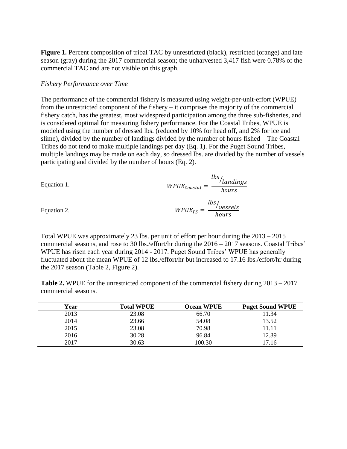**Figure 1.** Percent composition of tribal TAC by unrestricted (black), restricted (orange) and late season (gray) during the 2017 commercial season; the unharvested 3,417 fish were 0.78% of the commercial TAC and are not visible on this graph.

## *Fishery Performance over Time*

Equation 2.

The performance of the commercial fishery is measured using weight-per-unit-effort (WPUE) from the unrestricted component of the fishery – it comprises the majority of the commercial fishery catch, has the greatest, most widespread participation among the three sub-fisheries, and is considered optimal for measuring fishery performance. For the Coastal Tribes, WPUE is modeled using the number of dressed lbs. (reduced by 10% for head off, and 2% for ice and slime), divided by the number of landings divided by the number of hours fished – The Coastal Tribes do not tend to make multiple landings per day (Eq. 1). For the Puget Sound Tribes, multiple landings may be made on each day, so dressed lbs. are divided by the number of vessels participating and divided by the number of hours (Eq. 2).

Equation 1. 
$$
WPUE_{coastal} = \frac{lbs}{hours}
$$

$$
WPUE_{PS} = \frac{lbs}{hours}
$$

Total WPUE was approximately 23 lbs. per unit of effort per hour during the 2013 – 2015 commercial seasons, and rose to 30 lbs./effort/hr during the 2016 – 2017 seasons. Coastal Tribes' WPUE has risen each year during 2014 - 2017. Puget Sound Tribes' WPUE has generally fluctuated about the mean WPUE of 12 lbs./effort/hr but increased to 17.16 lbs./effort/hr during the 2017 season (Table 2, Figure 2).

**Table 2.** WPUE for the unrestricted component of the commercial fishery during 2013 – 2017 commercial seasons.

| Year | <b>Total WPUE</b> | <b>Ocean WPUE</b> | <b>Puget Sound WPUE</b> |
|------|-------------------|-------------------|-------------------------|
| 2013 | 23.08             | 66.70             | 11.34                   |
| 2014 | 23.66             | 54.08             | 13.52                   |
| 2015 | 23.08             | 70.98             | 11.11                   |
| 2016 | 30.28             | 96.84             | 12.39                   |
| 2017 | 30.63             | 100.30            | 17.16                   |